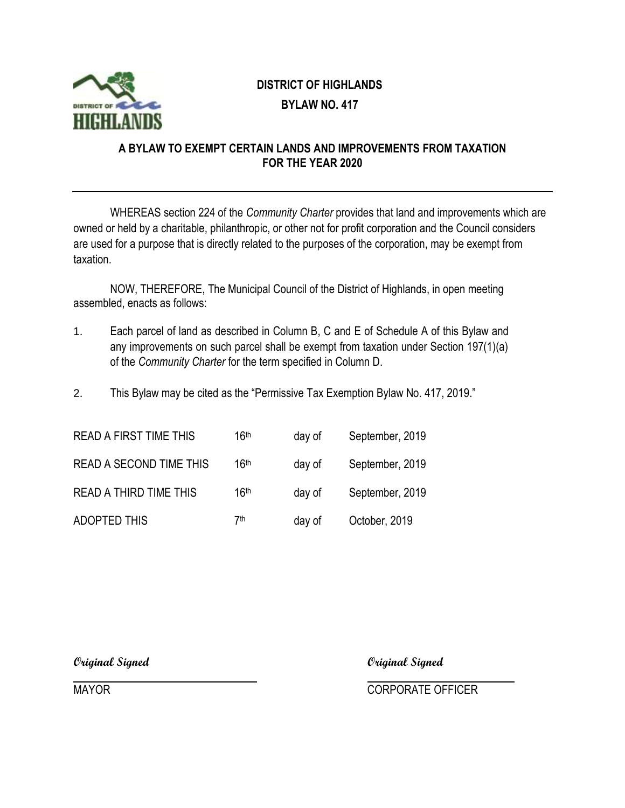

## **DISTRICT OF HIGHLANDS BYLAW NO. 417**

## **A BYLAW TO EXEMPT CERTAIN LANDS AND IMPROVEMENTS FROM TAXATION FOR THE YEAR 2020**

WHEREAS section 224 of the *Community Charter* provides that land and improvements which are owned or held by a charitable, philanthropic, or other not for profit corporation and the Council considers are used for a purpose that is directly related to the purposes of the corporation, may be exempt from taxation.

NOW, THEREFORE, The Municipal Council of the District of Highlands, in open meeting assembled, enacts as follows:

- 1. Each parcel of land as described in Column B, C and E of Schedule A of this Bylaw and any improvements on such parcel shall be exempt from taxation under Section 197(1)(a) of the *Community Charter* for the term specified in Column D.
- 2. This Bylaw may be cited as the "Permissive Tax Exemption Bylaw No. 417, 2019."

| <b>READ A FIRST TIME THIS</b>  | 16th             | day of | September, 2019 |
|--------------------------------|------------------|--------|-----------------|
| <b>READ A SECOND TIME THIS</b> | 16 <sup>th</sup> | day of | September, 2019 |
| <b>READ A THIRD TIME THIS</b>  | 16 <sup>th</sup> | day of | September, 2019 |
| <b>ADOPTED THIS</b>            | 7th              | day of | October, 2019   |

**Original Signed Original Signed**

MAYOR **MAYOR** CORPORATE OFFICER